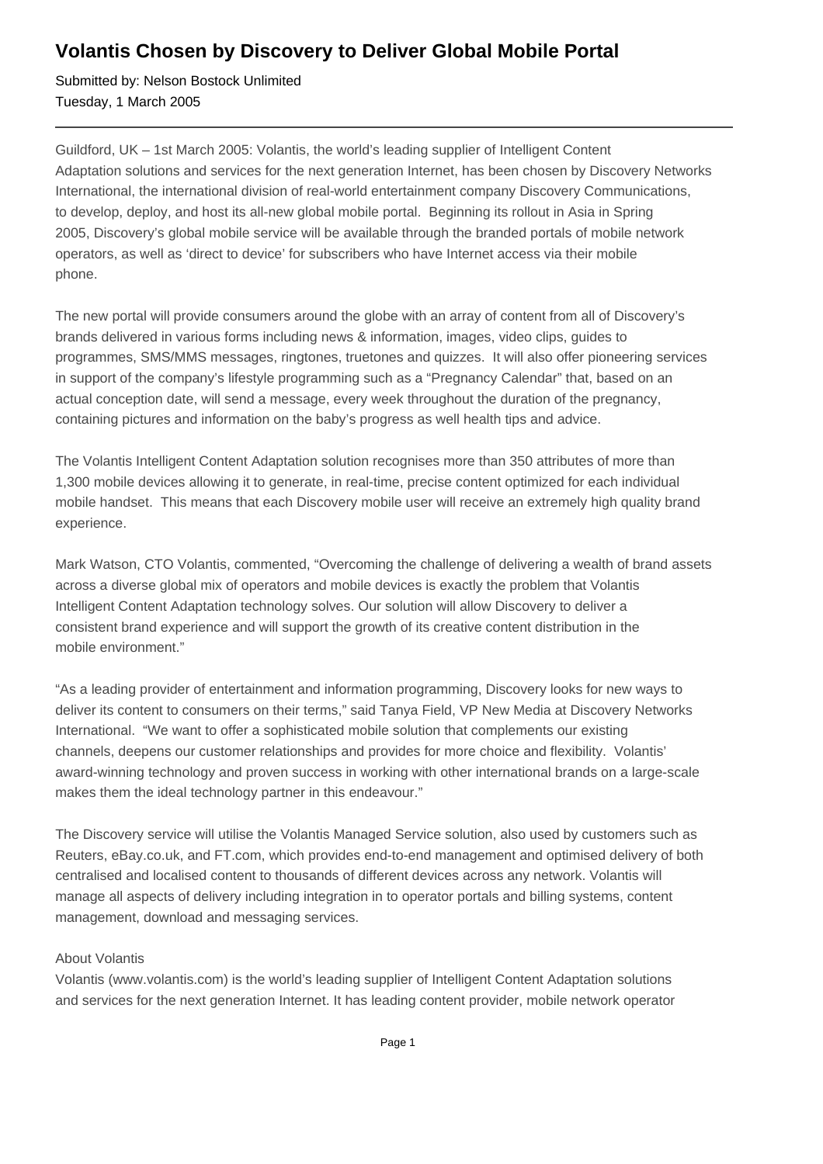## **Volantis Chosen by Discovery to Deliver Global Mobile Portal**

Submitted by: Nelson Bostock Unlimited Tuesday, 1 March 2005

Guildford, UK – 1st March 2005: Volantis, the world's leading supplier of Intelligent Content Adaptation solutions and services for the next generation Internet, has been chosen by Discovery Networks International, the international division of real-world entertainment company Discovery Communications, to develop, deploy, and host its all-new global mobile portal. Beginning its rollout in Asia in Spring 2005, Discovery's global mobile service will be available through the branded portals of mobile network operators, as well as 'direct to device' for subscribers who have Internet access via their mobile phone.

The new portal will provide consumers around the globe with an array of content from all of Discovery's brands delivered in various forms including news & information, images, video clips, guides to programmes, SMS/MMS messages, ringtones, truetones and quizzes. It will also offer pioneering services in support of the company's lifestyle programming such as a "Pregnancy Calendar" that, based on an actual conception date, will send a message, every week throughout the duration of the pregnancy, containing pictures and information on the baby's progress as well health tips and advice.

The Volantis Intelligent Content Adaptation solution recognises more than 350 attributes of more than 1,300 mobile devices allowing it to generate, in real-time, precise content optimized for each individual mobile handset. This means that each Discovery mobile user will receive an extremely high quality brand experience.

Mark Watson, CTO Volantis, commented, "Overcoming the challenge of delivering a wealth of brand assets across a diverse global mix of operators and mobile devices is exactly the problem that Volantis Intelligent Content Adaptation technology solves. Our solution will allow Discovery to deliver a consistent brand experience and will support the growth of its creative content distribution in the mobile environment."

"As a leading provider of entertainment and information programming, Discovery looks for new ways to deliver its content to consumers on their terms," said Tanya Field, VP New Media at Discovery Networks International. "We want to offer a sophisticated mobile solution that complements our existing channels, deepens our customer relationships and provides for more choice and flexibility. Volantis' award-winning technology and proven success in working with other international brands on a large-scale makes them the ideal technology partner in this endeavour."

The Discovery service will utilise the Volantis Managed Service solution, also used by customers such as Reuters, eBay.co.uk, and FT.com, which provides end-to-end management and optimised delivery of both centralised and localised content to thousands of different devices across any network. Volantis will manage all aspects of delivery including integration in to operator portals and billing systems, content management, download and messaging services.

## About Volantis

Volantis (www.volantis.com) is the world's leading supplier of Intelligent Content Adaptation solutions and services for the next generation Internet. It has leading content provider, mobile network operator